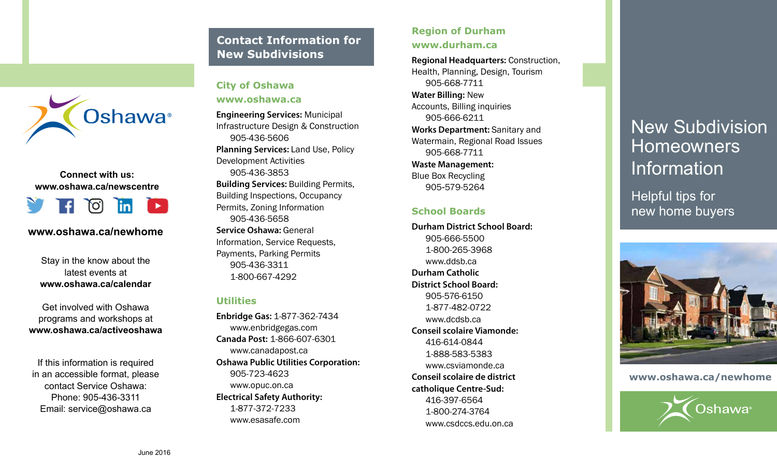### **Contact Information for New Subdivisions**



#### **Connect with us: www.oshawa.ca/newscentre**



#### **www.oshawa.ca/newhome**

Stay in the know about the latest events at **www.oshawa.ca/calendar** 

Get involved with Oshawa programs and workshops at **www.oshawa.ca/activeoshawa** 

If this information is required in an accessible format, please contact Service Oshawa: Phone: 905-436-3311 Email: service@oshawa.ca

#### **City of Oshawa**

**www.oshawa.ca** 

**Engineering Services:** Municipal Infrastructure Design & Construction 905-436-5606 **Planning Services:** Land Use, Policy Development Activities 905-436-3853 **Building Services:** Building Permits, Building Inspections, Occupancy Permits, Zoning Information 905-436-5658 **Service Oshawa:** General Information, Service Requests, Payments, Parking Permits 905-436-3311 1-800-667-4292

#### **Utilities**

**Enbridge Gas:** 1-877-362-7434 www.enbridgegas.com **Canada Post:** 1-866-607-6301 www.canadapost.ca **Oshawa Public Utilities Corporation:**  905-723-4623 www.opuc.on.ca **Electrical Safety Authority:**  1-877-372-7233 www.esasafe.com

#### **Region of Durham www.durham.ca**

**Regional Headquarters:** Construction, Health, Planning, Design, Tourism 905-668-7711 **Water Billing:** New Accounts, Billing inquiries 905-666-6211 **Works Department:** Sanitary and Watermain, Regional Road Issues 905-668-7711 **Waste Management:**  Blue Box Recycling 905 **-**579-5264

#### **School Boards**

**Durham District School Board:**  905-666-5500 1-800-265-3968 www.ddsb.ca **Durham Catholic District School Board:**  905-576-6150 1-877-482-0722 www.dcdsb.ca **Conseil scolaire Viamonde:**  416-614-0844 1-888-583-5383 www.csviamonde.ca **Conseil scolaire de district catholique Centre-Sud:**  416-397-6564 1-800-274-3764 www.csdccs.edu.on.ca

# New Subdivision **Homeowners** Information

Helpful tips for new home buyers



**www.oshawa.ca/newhome**